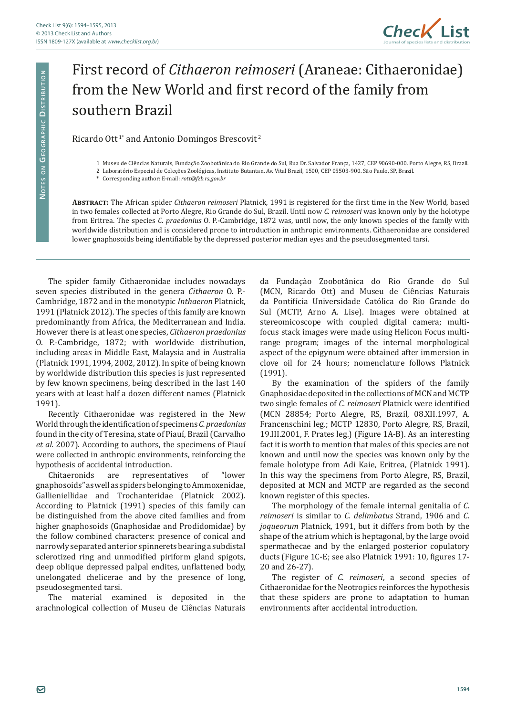

## First record of *Cithaeron reimoseri* (Araneae: Cithaeronidae) from the New World and first record of the family from southern Brazil

## Ricardo Ott<sup>1\*</sup> and Antonio Domingos Brescovit<sup>2</sup>

**Abstract:** The African spider *Cithaeron reimoseri* Platnick, 1991 is registered for the first time in the New World, based in two females collected at Porto Alegre, Rio Grande do Sul, Brazil. Until now *C. reimoseri* was known only by the holotype from Eritrea. The species *C. praedonius* O. P.-Cambridge, 1872 was, until now, the only known species of the family with worldwide distribution and is considered prone to introduction in anthropic environments. Cithaeronidae are considered lower gnaphosoids being identifiable by the depressed posterior median eyes and the pseudosegmented tarsi.

The spider family Cithaeronidae includes nowadays seven species distributed in the genera *Cithaeron* O. P.- Cambridge, 1872 and in the monotypic *Inthaeron* Platnick, 1991 (Platnick 2012). The species of this family are known predominantly from Africa, the Mediterranean and India. However there is at least one species, *Cithaeron praedonius* O. P.-Cambridge, 1872; with worldwide distribution, including areas in Middle East, Malaysia and in Australia (Platnick 1991, 1994, 2002, 2012). In spite of being known by worldwide distribution this species is just represented by few known specimens, being described in the last 140 years with at least half a dozen different names (Platnick 1991).

Recently Cithaeronidae was registered in the New World through the identification of specimens *C. praedonius*  found in the city of Teresina, state of Piauí, Brazil (Carvalho *et al.* 2007). According to authors, the specimens of Piauí were collected in anthropic environments, reinforcing the

hypothesis of accidental introduction.<br>Chitaeronids are representation representatives of "lower gnaphosoids" as well as spiders belonging to Ammoxenidae, Gallieniellidae and Trochanteridae (Platnick 2002). According to Platnick (1991) species of this family can be distinguished from the above cited families and from higher gnaphosoids (Gnaphosidae and Prodidomidae) by the follow combined characters: presence of conical and narrowly separated anterior spinnerets bearing a subdistal sclerotized ring and unmodified piriform gland spigots, deep oblique depressed palpal endites, unflattened body, unelongated chelicerae and by the presence of long, pseudosegmented tarsi.

The material examined is deposited in the arachnological collection of Museu de Ciências Naturais da Fundação Zoobotânica do Rio Grande do Sul (MCN, Ricardo Ott) and Museu de Ciências Naturais da Pontifícia Universidade Católica do Rio Grande do Sul (MCTP, Arno A. Lise). Images were obtained at stereomicoscope with coupled digital camera; multifocus stack images were made using Helicon Focus multirange program; images of the internal morphological aspect of the epigynum were obtained after immersion in clove oil for 24 hours; nomenclature follows Platnick (1991).

By the examination of the spiders of the family Gnaphosidae deposited in the collections of MCN and MCTP two single females of *C. reimoseri* Platnick were identified (MCN 28854; Porto Alegre, RS, Brazil, 08.XII.1997, A. Francenschini leg.; MCTP 12830, Porto Alegre, RS, Brazil, 19.III.2001, F. Prates leg.) (Figure 1A-B). As an interesting fact it is worth to mention that males of this species are not known and until now the species was known only by the female holotype from Adi Kaie, Eritrea, (Platnick 1991). In this way the specimens from Porto Alegre, RS, Brazil, deposited at MCN and MCTP are regarded as the second known register of this species.

The morphology of the female internal genitalia of *C. reimoseri* is similar to *C. delimbatus* Strand, 1906 and *C. joqueorum* Platnick, 1991, but it differs from both by the shape of the atrium which is heptagonal, by the large ovoid spermathecae and by the enlarged posterior copulatory ducts (Figure 1C-E; see also Platnick 1991: 10, figures 17- 20 and 26-27).

The register of *C. reimoseri*, a second species of Cithaeronidae for the Neotropics reinforces the hypothesis that these spiders are prone to adaptation to human environments after accidental introduction.

<sup>1</sup> Museu de Ciências Naturais, Fundação Zoobotânica do Rio Grande do Sul, Rua Dr. Salvador França, 1427, CEP 90690-000. Porto Alegre, RS, Brazil.

<sup>2</sup> Laboratório Especial de Coleções Zoológicas, Instituto Butantan. Av. Vital Brazil, 1500, CEP 05503-900. São Paulo, SP, Brazil.

<sup>\*</sup> Corresponding author: E-mail: *rott@fzb.rs.gov.br*